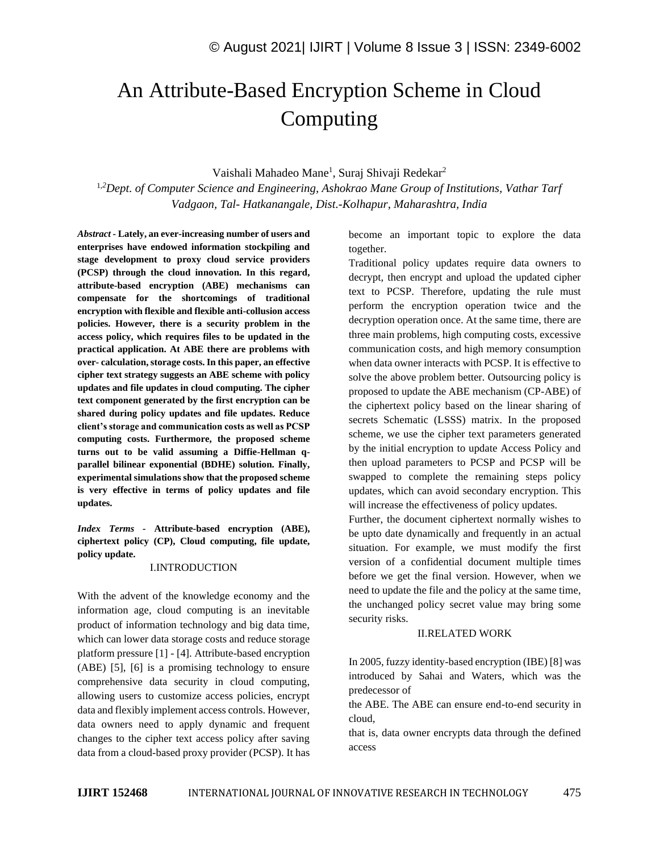# An Attribute-Based Encryption Scheme in Cloud Computing

Vaishali Mahadeo Mane<sup>1</sup>, Suraj Shivaji Redekar<sup>2</sup>

1,*<sup>2</sup>Dept. of Computer Science and Engineering, Ashokrao Mane Group of Institutions, Vathar Tarf Vadgaon, Tal- Hatkanangale, Dist.-Kolhapur, Maharashtra, India*

*Abstract -* **Lately, an ever-increasing number of users and enterprises have endowed information stockpiling and stage development to proxy cloud service providers (PCSP) through the cloud innovation. In this regard, attribute-based encryption (ABE) mechanisms can compensate for the shortcomings of traditional encryption with flexible and flexible anti-collusion access policies. However, there is a security problem in the access policy, which requires files to be updated in the practical application. At ABE there are problems with over- calculation, storage costs. In this paper, an effective cipher text strategy suggests an ABE scheme with policy updates and file updates in cloud computing. The cipher text component generated by the first encryption can be shared during policy updates and file updates. Reduce client's storage and communication costs as well as PCSP computing costs. Furthermore, the proposed scheme turns out to be valid assuming a Diffie-Hellman qparallel bilinear exponential (BDHE) solution. Finally, experimental simulations show that the proposed scheme is very effective in terms of policy updates and file updates.**

*Index Terms -* **Attribute-based encryption (ABE), ciphertext policy (CP), Cloud computing, file update, policy update.** 

### I.INTRODUCTION

With the advent of the knowledge economy and the information age, cloud computing is an inevitable product of information technology and big data time, which can lower data storage costs and reduce storage platform pressure [1] - [4]. Attribute-based encryption (ABE) [5], [6] is a promising technology to ensure comprehensive data security in cloud computing, allowing users to customize access policies, encrypt data and flexibly implement access controls. However, data owners need to apply dynamic and frequent changes to the cipher text access policy after saving data from a cloud-based proxy provider (PCSP). It has become an important topic to explore the data together.

Traditional policy updates require data owners to decrypt, then encrypt and upload the updated cipher text to PCSP. Therefore, updating the rule must perform the encryption operation twice and the decryption operation once. At the same time, there are three main problems, high computing costs, excessive communication costs, and high memory consumption when data owner interacts with PCSP. It is effective to solve the above problem better. Outsourcing policy is proposed to update the ABE mechanism (CP-ABE) of the ciphertext policy based on the linear sharing of secrets Schematic (LSSS) matrix. In the proposed scheme, we use the cipher text parameters generated by the initial encryption to update Access Policy and then upload parameters to PCSP and PCSP will be swapped to complete the remaining steps policy updates, which can avoid secondary encryption. This will increase the effectiveness of policy updates.

Further, the document ciphertext normally wishes to be upto date dynamically and frequently in an actual situation. For example, we must modify the first version of a confidential document multiple times before we get the final version. However, when we need to update the file and the policy at the same time, the unchanged policy secret value may bring some security risks.

## II.RELATED WORK

In 2005, fuzzy identity-based encryption (IBE) [8] was introduced by Sahai and Waters, which was the predecessor of

the ABE. The ABE can ensure end-to-end security in cloud,

that is, data owner encrypts data through the defined access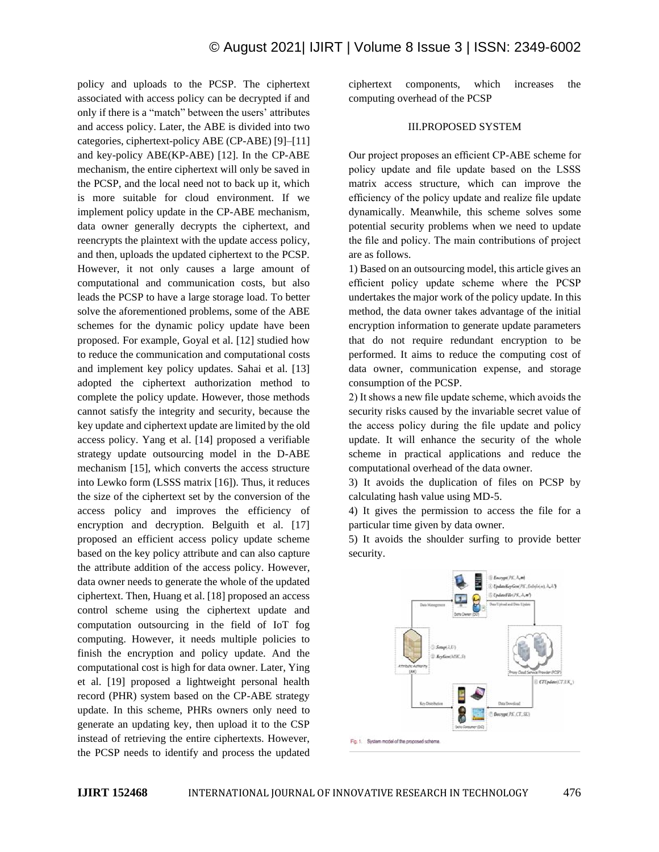policy and uploads to the PCSP. The ciphertext associated with access policy can be decrypted if and only if there is a "match" between the users' attributes and access policy. Later, the ABE is divided into two categories, ciphertext-policy ABE (CP-ABE) [9]–[11] and key-policy ABE(KP-ABE) [12]. In the CP-ABE mechanism, the entire ciphertext will only be saved in the PCSP, and the local need not to back up it, which is more suitable for cloud environment. If we implement policy update in the CP-ABE mechanism, data owner generally decrypts the ciphertext, and reencrypts the plaintext with the update access policy, and then, uploads the updated ciphertext to the PCSP. However, it not only causes a large amount of computational and communication costs, but also leads the PCSP to have a large storage load. To better solve the aforementioned problems, some of the ABE schemes for the dynamic policy update have been proposed. For example, Goyal et al. [12] studied how to reduce the communication and computational costs and implement key policy updates. Sahai et al. [13] adopted the ciphertext authorization method to complete the policy update. However, those methods cannot satisfy the integrity and security, because the key update and ciphertext update are limited by the old access policy. Yang et al. [14] proposed a verifiable strategy update outsourcing model in the D-ABE mechanism [15], which converts the access structure into Lewko form (LSSS matrix [16]). Thus, it reduces the size of the ciphertext set by the conversion of the access policy and improves the efficiency of encryption and decryption. Belguith et al. [17] proposed an efficient access policy update scheme based on the key policy attribute and can also capture the attribute addition of the access policy. However, data owner needs to generate the whole of the updated ciphertext. Then, Huang et al. [18] proposed an access control scheme using the ciphertext update and computation outsourcing in the field of IoT fog computing. However, it needs multiple policies to finish the encryption and policy update. And the computational cost is high for data owner. Later, Ying et al. [19] proposed a lightweight personal health record (PHR) system based on the CP-ABE strategy update. In this scheme, PHRs owners only need to generate an updating key, then upload it to the CSP instead of retrieving the entire ciphertexts. However, the PCSP needs to identify and process the updated

ciphertext components, which increases the computing overhead of the PCSP

## III.PROPOSED SYSTEM

Our project proposes an efficient CP-ABE scheme for policy update and file update based on the LSSS matrix access structure, which can improve the efficiency of the policy update and realize file update dynamically. Meanwhile, this scheme solves some potential security problems when we need to update the file and policy. The main contributions of project are as follows.

1) Based on an outsourcing model, this article gives an efficient policy update scheme where the PCSP undertakes the major work of the policy update. In this method, the data owner takes advantage of the initial encryption information to generate update parameters that do not require redundant encryption to be performed. It aims to reduce the computing cost of data owner, communication expense, and storage consumption of the PCSP.

2) It shows a new file update scheme, which avoids the security risks caused by the invariable secret value of the access policy during the file update and policy update. It will enhance the security of the whole scheme in practical applications and reduce the computational overhead of the data owner.

3) It avoids the duplication of files on PCSP by calculating hash value using MD-5.

4) It gives the permission to access the file for a particular time given by data owner.

5) It avoids the shoulder surfing to provide better security.

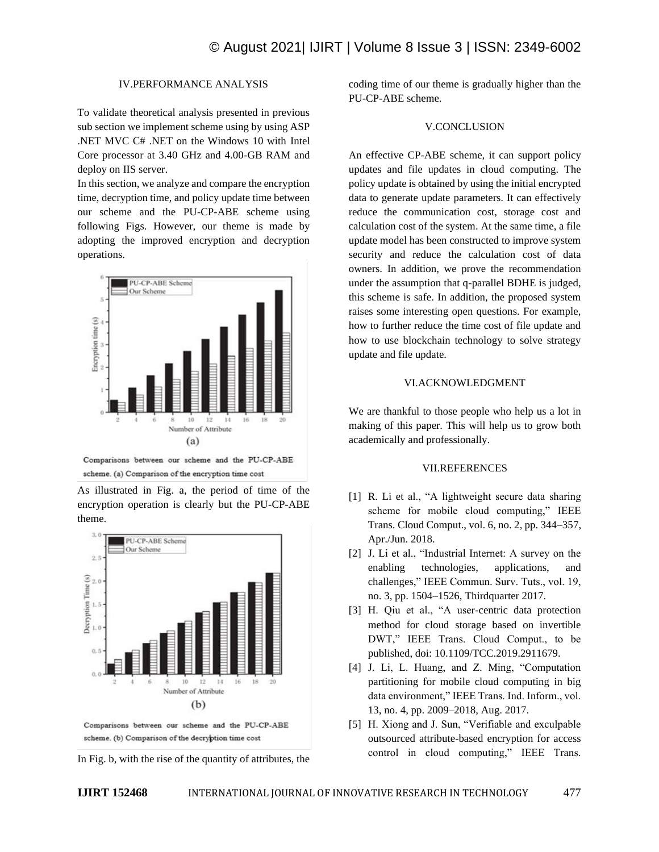# IV.PERFORMANCE ANALYSIS

To validate theoretical analysis presented in previous sub section we implement scheme using by using ASP .NET MVC C# .NET on the Windows 10 with Intel Core processor at 3.40 GHz and 4.00-GB RAM and deploy on IIS server.

In this section, we analyze and compare the encryption time, decryption time, and policy update time between our scheme and the PU-CP-ABE scheme using following Figs. However, our theme is made by adopting the improved encryption and decryption operations.



Comparisons between our scheme and the PU-CP-ABE scheme. (a) Comparison of the encryption time cost

As illustrated in Fig. a, the period of time of the encryption operation is clearly but the PU-CP-ABE theme.



Comparisons between our scheme and the PU-CP-ABE scheme. (b) Comparison of the decryption time cost

In Fig. b, with the rise of the quantity of attributes, the

coding time of our theme is gradually higher than the PU-CP-ABE scheme.

## V.CONCLUSION

An effective CP-ABE scheme, it can support policy updates and file updates in cloud computing. The policy update is obtained by using the initial encrypted data to generate update parameters. It can effectively reduce the communication cost, storage cost and calculation cost of the system. At the same time, a file update model has been constructed to improve system security and reduce the calculation cost of data owners. In addition, we prove the recommendation under the assumption that q-parallel BDHE is judged, this scheme is safe. In addition, the proposed system raises some interesting open questions. For example, how to further reduce the time cost of file update and how to use blockchain technology to solve strategy update and file update.

#### VI.ACKNOWLEDGMENT

We are thankful to those people who help us a lot in making of this paper. This will help us to grow both academically and professionally.

## VII.REFERENCES

- [1] R. Li et al., "A lightweight secure data sharing scheme for mobile cloud computing," IEEE Trans. Cloud Comput., vol. 6, no. 2, pp. 344–357, Apr./Jun. 2018.
- [2] J. Li et al., "Industrial Internet: A survey on the enabling technologies, applications, and challenges," IEEE Commun. Surv. Tuts., vol. 19, no. 3, pp. 1504–1526, Thirdquarter 2017.
- [3] H. Qiu et al., "A user-centric data protection method for cloud storage based on invertible DWT," IEEE Trans. Cloud Comput., to be published, doi: 10.1109/TCC.2019.2911679.
- [4] J. Li, L. Huang, and Z. Ming, "Computation partitioning for mobile cloud computing in big data environment," IEEE Trans. Ind. Inform., vol. 13, no. 4, pp. 2009–2018, Aug. 2017.
- [5] H. Xiong and J. Sun, "Verifiable and exculpable outsourced attribute-based encryption for access control in cloud computing," IEEE Trans.